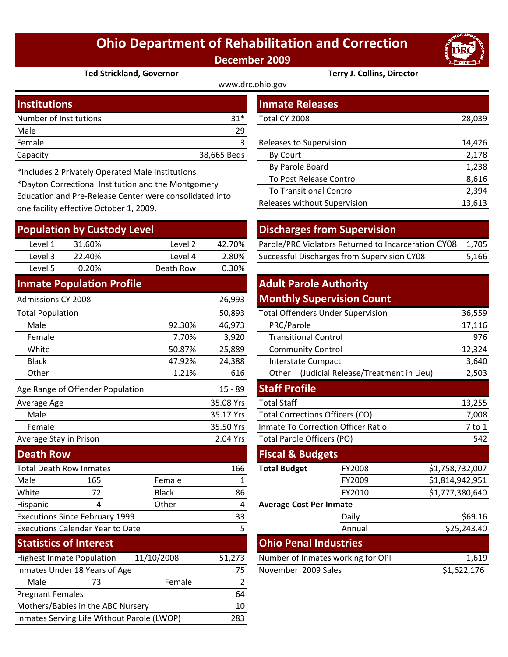## **Ohio Department of Rehabilitation and Correction December 2009**

www.drc.ohio.gov



**Ted Strickland, Governor Terry J. Collins, Director**

| <b>Institutions</b>    |             | <b>Inmate Releases</b>         |        |  |
|------------------------|-------------|--------------------------------|--------|--|
| Number of Institutions | $31*$       | Total CY 2008                  | 28,039 |  |
| Male                   | 29          |                                |        |  |
| Female                 |             | <b>Releases to Supervision</b> | 14,426 |  |
| Capacity               | 38,665 Beds | By Court                       | 2,178  |  |
|                        |             |                                |        |  |

\*Includes 2 Privately Operated Male Institutions

\*Dayton Correctional Institution and the Montgomery Education and Pre‐Release Center were consolidated into one facility effective October 1, 2009.

| <b>Population by Custody Level</b>         |                                       |              | <b>Discharges from Supervision</b> |                                            |                                                     |                 |         |
|--------------------------------------------|---------------------------------------|--------------|------------------------------------|--------------------------------------------|-----------------------------------------------------|-----------------|---------|
| Level 1                                    | 31.60%                                | Level 2      | 42.70%                             |                                            | Parole/PRC Violators Returned to Incarceration CY08 |                 | 1,705   |
| Level 3                                    | 22.40%                                | Level 4      | 2.80%                              |                                            | Successful Discharges from Supervision CY08         |                 | 5,166   |
| Level 5                                    | 0.20%                                 | Death Row    | 0.30%                              |                                            |                                                     |                 |         |
|                                            | <b>Inmate Population Profile</b>      |              |                                    | <b>Adult Parole Authority</b>              |                                                     |                 |         |
| <b>Admissions CY 2008</b>                  |                                       |              | 26,993                             |                                            | <b>Monthly Supervision Count</b>                    |                 |         |
| <b>Total Population</b>                    |                                       |              | 50,893                             |                                            | <b>Total Offenders Under Supervision</b>            |                 | 36,559  |
| Male                                       |                                       | 92.30%       | 46,973                             | PRC/Parole                                 |                                                     |                 | 17,116  |
| Female                                     |                                       | 7.70%        | 3,920                              | <b>Transitional Control</b>                |                                                     |                 | 976     |
| White                                      |                                       | 50.87%       | 25,889                             | <b>Community Control</b>                   |                                                     |                 | 12,324  |
| <b>Black</b>                               |                                       | 47.92%       | 24,388                             | Interstate Compact                         |                                                     |                 | 3,640   |
| Other                                      |                                       | 1.21%        | 616                                | Other (Judicial Release/Treatment in Lieu) |                                                     |                 | 2,503   |
|                                            | Age Range of Offender Population      |              | $15 - 89$                          | <b>Staff Profile</b>                       |                                                     |                 |         |
| Average Age                                |                                       |              | 35.08 Yrs                          | <b>Total Staff</b>                         |                                                     |                 | 13,255  |
| Male                                       |                                       |              | 35.17 Yrs                          | <b>Total Corrections Officers (CO)</b>     |                                                     |                 | 7,008   |
| Female                                     |                                       |              | 35.50 Yrs                          |                                            | <b>Inmate To Correction Officer Ratio</b>           |                 | 7 to 1  |
| Average Stay in Prison                     |                                       | 2.04 Yrs     | Total Parole Officers (PO)         |                                            | 542                                                 |                 |         |
| <b>Death Row</b>                           |                                       |              |                                    | <b>Fiscal &amp; Budgets</b>                |                                                     |                 |         |
| <b>Total Death Row Inmates</b>             |                                       | 166          | <b>Total Budget</b>                | FY2008                                     | \$1,758,732,007                                     |                 |         |
| Male                                       | 165                                   | Female       | 1                                  |                                            | FY2009                                              | \$1,814,942,951 |         |
| White                                      | 72                                    | <b>Black</b> | 86                                 |                                            | FY2010                                              | \$1,777,380,640 |         |
| Hispanic                                   | 4                                     | Other        | $\overline{\mathbf{4}}$            | <b>Average Cost Per Inmate</b>             |                                                     |                 |         |
|                                            | <b>Executions Since February 1999</b> |              | 33                                 |                                            | Daily                                               |                 | \$69.16 |
| <b>Executions Calendar Year to Date</b>    |                                       | 5            |                                    | Annual                                     |                                                     | \$25,243.40     |         |
|                                            | <b>Statistics of Interest</b>         |              |                                    | <b>Ohio Penal Industries</b>               |                                                     |                 |         |
|                                            | <b>Highest Inmate Population</b>      | 11/10/2008   | 51,273                             |                                            | Number of Inmates working for OPI                   |                 | 1,619   |
| Inmates Under 18 Years of Age              |                                       | 75           | November 2009 Sales                |                                            |                                                     | \$1,622,176     |         |
| Male                                       | 73                                    | Female       | $\overline{2}$                     |                                            |                                                     |                 |         |
| <b>Pregnant Females</b>                    |                                       |              | 64                                 |                                            |                                                     |                 |         |
| Mothers/Babies in the ABC Nursery          |                                       |              | 10                                 |                                            |                                                     |                 |         |
| Inmates Serving Life Without Parole (LWOP) |                                       |              | 283                                |                                            |                                                     |                 |         |

| 28,039 |
|--------|
|        |
| 14,426 |
| 2,178  |
| 1,238  |
| 8,616  |
| 2,394  |
| 13,613 |
|        |

| <b>Discharges from Supervision</b>       |
|------------------------------------------|
| Darole/DRC Violators Returned to Incarce |

| Level 1 | 31.60% | Level 2 | 42.70% | Parole/PRC Violators Returned to Incarceration CY08 1,705 |       |
|---------|--------|---------|--------|-----------------------------------------------------------|-------|
| Level 3 | 22.40% | Level 4 | 2.80%  | Successful Discharges from Supervision CY08               | 5,166 |

## **Monthly Supervision Count Adult Parole Authority**

|        | 50,893       |                                   | <b>Total Offenders Under Supervision</b>  |                                      | 36,559          |  |
|--------|--------------|-----------------------------------|-------------------------------------------|--------------------------------------|-----------------|--|
| 92.30% | 46,973       | PRC/Parole                        | 17,116                                    |                                      |                 |  |
| 7.70%  | 3,920        | <b>Transitional Control</b>       |                                           |                                      | 976             |  |
| 50.87% | 25,889       | <b>Community Control</b>          |                                           |                                      | 12,324          |  |
| 47.92% | 24,388       | Interstate Compact                |                                           |                                      | 3,640           |  |
| 1.21%  | 616          | Other                             |                                           | (Judicial Release/Treatment in Lieu) | 2,503           |  |
|        | $15 - 89$    | <b>Staff Profile</b>              |                                           |                                      |                 |  |
|        | 35.08 Yrs    | <b>Total Staff</b>                |                                           |                                      | 13,255          |  |
|        | 35.17 Yrs    |                                   | <b>Total Corrections Officers (CO)</b>    |                                      | 7,008           |  |
|        | 35.50 Yrs    |                                   | <b>Inmate To Correction Officer Ratio</b> |                                      | $7$ to $1$      |  |
|        | 2.04 Yrs     | <b>Total Parole Officers (PO)</b> |                                           |                                      | 542             |  |
|        |              |                                   | <b>Fiscal &amp; Budgets</b>               |                                      |                 |  |
|        | 166          | <b>Total Budget</b>               |                                           | FY2008                               | \$1,758,732,007 |  |
| ale    | $\mathbf{1}$ |                                   |                                           | FY2009                               | \$1,814,942,951 |  |
| :k     | 86           |                                   |                                           | FY2010                               | \$1,777,380,640 |  |
| er     | 4            | <b>Average Cost Per Inmate</b>    |                                           |                                      |                 |  |
|        | 33           |                                   | Daily                                     |                                      | \$69.16         |  |
|        | 5            |                                   | Annual                                    |                                      | \$25,243.40     |  |
|        |              |                                   | <b>Ohio Penal Industries</b>              |                                      |                 |  |
| 08     | 51,273       | Number of Inmates working for OPI |                                           |                                      | 1,619           |  |
|        | 75           | November 2009 Sales               |                                           | \$1,622,176                          |                 |  |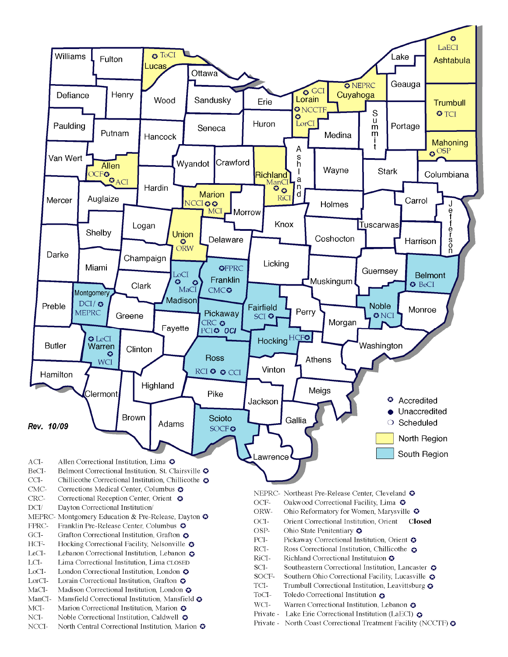